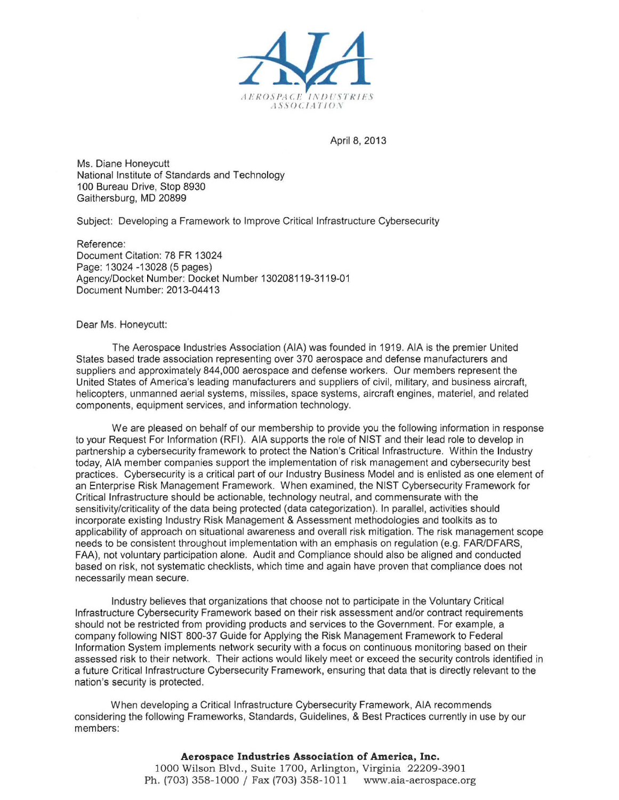

April 8, 2013

Ms. Diane Honeycutt National Institute of Standards and Technology 100 Bureau Drive, Stop 8930 Gaithersburg, MD 20899

Subject: Developing a Framework to Improve Critical Infrastructure Cybersecurity

Reference: Document Citation: 78 FR 13024 Page: 13024 -13028 (5 pages) Agency/Docket Number: Docket Number 130208119-3119-01 Document Number: 2013-04413

Dear Ms. Honeycutt:

The Aerospace Industries Association (AlA) was founded in 1919. AlA is the premier United States based trade association representing over 370 aerospace and defense manufacturers and suppliers and approximately 844,000 aerospace and defense workers. Our members represent the United States of America's leading manufacturers and suppliers of civil, military, and business aircraft, helicopters, unmanned aerial systems, missiles, space systems, aircraft engines, materiel, and related components, equipment services, and information technology.

We are pleased on behalf of our membership to provide you the following information in response to your Request For Information (RFI). AlA supports the role of NIST and their lead role to develop in partnership a cybersecurity framework to protect the Nation's Critical Infrastructure. Within the Industry today, AlA member companies support the implementation of risk management and cybersecurity best practices. Cybersecurity is a critical part of our Industry Business Model and is enlisted as one element of an Enterprise Risk Management Framework. When examined, the NIST Cybersecurity Framework for Critical Infrastructure should be actionable, technology neutral, and commensurate with the sensitivity/criticality of the data being protected (data categorization). In parallel, activities should incorporate existing Industry Risk Management & Assessment methodologies and toolkits as to applicability of approach on situational awareness and overall risk mitigation. The risk management scope needs to be consistent throughout implementation with an emphasis on regulation (e.g. FARIDFARS, FAA), not voluntary participation alone. Audit and Compliance should also be aligned and conducted based on risk, not systematic checklists, which time and again have proven that compliance does not necessarily mean secure.

Industry believes that organizations that choose not to participate in the Voluntary Critical Infrastructure Cybersecurity Framework based on their risk assessment and/or contract requirements should not be restricted from providing products and services to the Government. For example, a company following NIST 800-37 Guide for Applying the Risk Management Framework to Federal Information System implements network security with a focus on continuous monitoring based on their assessed risk to their network. Their actions would likely meet or exceed the security controls identified in a future Critical Infrastructure Cybersecurity Framework, ensuring that data that is directly relevant to the nation's security is protected.

When developing a Critical Infrastructure Cybersecurity Framework, AlA recommends considering the following Frameworks, Standards, Guidelines, & Best Practices currently in use by our members:

> **Aerospace Industries Association of America, Inc.**  1000 Wilson Blvd., Suite 1700, Arlington, Virginia 22209-3901 Ph. (703) 358-1000 / Fax (703) 358-1011 www.aia-aerospace.org